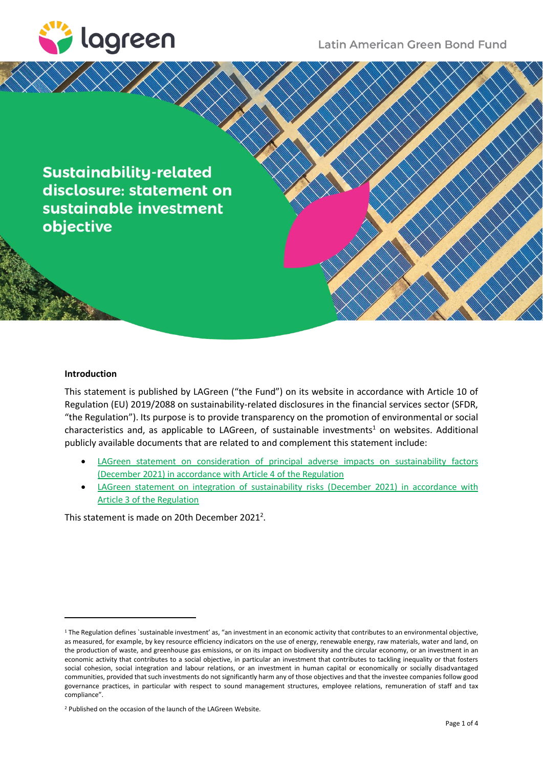

**Sustainability-related** disclosure: statement on sustainable investment objective

# **Introduction**

This statement is published by LAGreen ("the Fund") on its website in accordance with Article 10 of Regulation (EU) 2019/2088 on sustainability-related disclosures in the financial services sector (SFDR, "the Regulation"). Its purpose is to provide transparency on the promotion of environmental or social characteristics and, as applicable to LAGreen, of sustainable investments<sup>1</sup> on websites. Additional publicly available documents that are related to and complement this statement include:

- LAGreen statement on consideration of principal adverse impacts on sustainability factors (December [2021\) in accordance with Article 4](https://lagreen.lu/wp-content/uploads/2021/12/LAGreen_SFDR_PAI_Dec-2021-1.pdf) of the Regulation
- [LAGreen statement on integration of sustainability risks \(December](https://lagreen.lu/wp-content/uploads/2021/12/LAGreen_SFDR_SR_Dec-2021-1.pdf) 2021) in accordance with [Article 3 of the Regulation](https://lagreen.lu/wp-content/uploads/2021/12/LAGreen_SFDR_SR_Dec-2021-1.pdf)

This statement is made on 20th December 2021<sup>2</sup>.

<sup>1</sup> The Regulation defines `sustainable investment' as, "an investment in an economic activity that contributes to an environmental objective, as measured, for example, by key resource efficiency indicators on the use of energy, renewable energy, raw materials, water and land, on the production of waste, and greenhouse gas emissions, or on its impact on biodiversity and the circular economy, or an investment in an economic activity that contributes to a social objective, in particular an investment that contributes to tackling inequality or that fosters social cohesion, social integration and labour relations, or an investment in human capital or economically or socially disadvantaged communities, provided that such investments do not significantly harm any of those objectives and that the investee companies follow good governance practices, in particular with respect to sound management structures, employee relations, remuneration of staff and tax compliance".

<sup>2</sup> Published on the occasion of the launch of the LAGreen Website.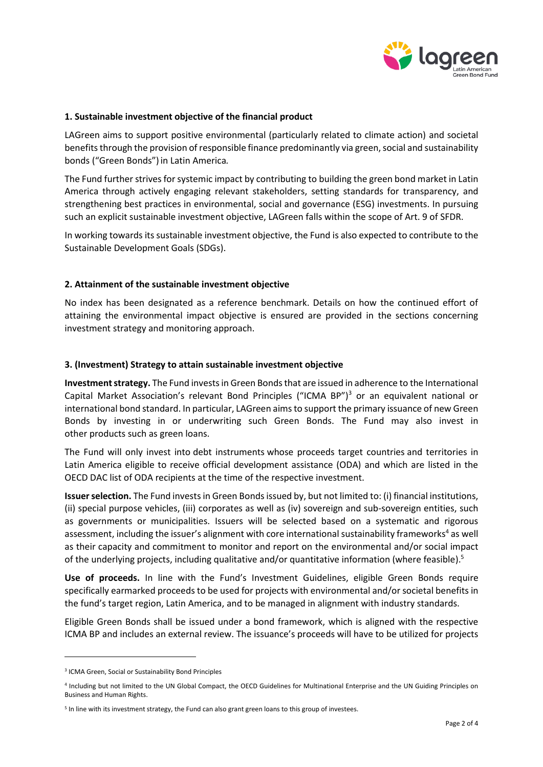

### **1. Sustainable investment objective of the financial product**

LAGreen aims to support positive environmental (particularly related to climate action) and societal benefits through the provision of responsible finance predominantly via green, social and sustainability bonds ("Green Bonds")in Latin America*.*

The Fund further strives for systemic impact by contributing to building the green bond market in Latin America through actively engaging relevant stakeholders, setting standards for transparency, and strengthening best practices in environmental, social and governance (ESG) investments. In pursuing such an explicit sustainable investment objective, LAGreen falls within the scope of Art. 9 of SFDR.

In working towards its sustainable investment objective, the Fund is also expected to contribute to the Sustainable Development Goals (SDGs).

## **2. Attainment of the sustainable investment objective**

No index has been designated as a reference benchmark. Details on how the continued effort of attaining the environmental impact objective is ensured are provided in the sections concerning investment strategy and monitoring approach.

### **3. (Investment) Strategy to attain sustainable investment objective**

**Investment strategy.** The Fund invests in Green Bonds that are issued in adherence to the International Capital Market Association's relevant Bond Principles ("ICMA BP")<sup>3</sup> or an equivalent national or international bond standard. In particular, LAGreen aims to support the primary issuance of new Green Bonds by investing in or underwriting such Green Bonds. The Fund may also invest in other products such as green loans.

The Fund will only invest into debt instruments whose proceeds target countries and territories in Latin America eligible to receive official development assistance (ODA) and which are listed in the OECD DAC list of ODA recipients at the time of the respective investment.

**Issuer selection.** The Fund invests in Green Bonds issued by, but not limited to: (i) financial institutions, (ii) special purpose vehicles, (iii) corporates as well as (iv) sovereign and sub-sovereign entities, such as governments or municipalities. Issuers will be selected based on a systematic and rigorous assessment, including the issuer's alignment with core international sustainability frameworks<sup>4</sup> as well as their capacity and commitment to monitor and report on the environmental and/or social impact of the underlying projects, including qualitative and/or quantitative information (where feasible).<sup>5</sup>

**Use of proceeds.** In line with the Fund's Investment Guidelines, eligible Green Bonds require specifically earmarked proceeds to be used for projects with environmental and/or societal benefits in the fund's target region, Latin America, and to be managed in alignment with industry standards.

Eligible Green Bonds shall be issued under a bond framework, which is aligned with the respective ICMA BP and includes an external review. The issuance's proceeds will have to be utilized for projects

<sup>&</sup>lt;sup>3</sup> ICMA Green, Social or Sustainability Bond Principles

<sup>4</sup> Including but not limited to the UN Global Compact, the OECD Guidelines for Multinational Enterprise and the UN Guiding Principles on Business and Human Rights.

<sup>&</sup>lt;sup>5</sup> In line with its investment strategy, the Fund can also grant green loans to this group of investees.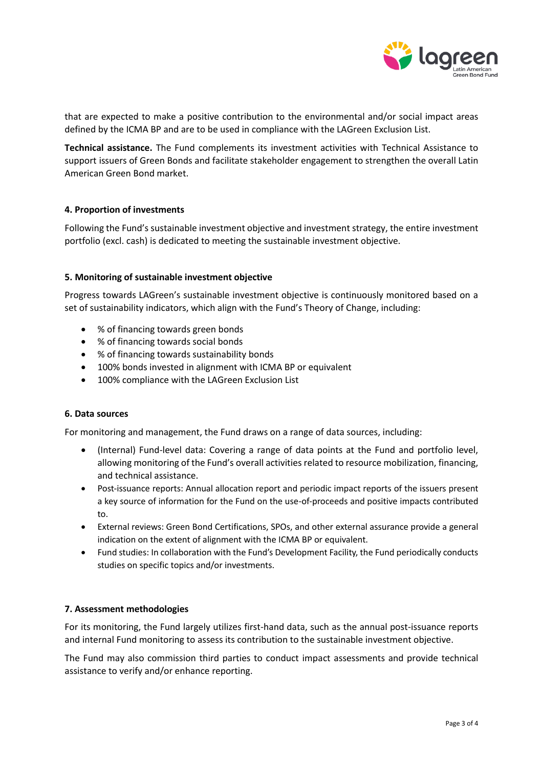

that are expected to make a positive contribution to the environmental and/or social impact areas defined by the ICMA BP and are to be used in compliance with the LAGreen Exclusion List.

**Technical assistance.** The Fund complements its investment activities with Technical Assistance to support issuers of Green Bonds and facilitate stakeholder engagement to strengthen the overall Latin American Green Bond market.

## **4. Proportion of investments**

Following the Fund's sustainable investment objective and investment strategy, the entire investment portfolio (excl. cash) is dedicated to meeting the sustainable investment objective.

### **5. Monitoring of sustainable investment objective**

Progress towards LAGreen's sustainable investment objective is continuously monitored based on a set of sustainability indicators, which align with the Fund's Theory of Change, including:

- % of financing towards green bonds
- % of financing towards social bonds
- % of financing towards sustainability bonds
- 100% bonds invested in alignment with ICMA BP or equivalent
- 100% compliance with the LAGreen Exclusion List

#### **6. Data sources**

For monitoring and management, the Fund draws on a range of data sources, including:

- (Internal) Fund-level data: Covering a range of data points at the Fund and portfolio level, allowing monitoring of the Fund's overall activities related to resource mobilization, financing, and technical assistance.
- Post-issuance reports: Annual allocation report and periodic impact reports of the issuers present a key source of information for the Fund on the use‐of‐proceeds and positive impacts contributed to.
- External reviews: Green Bond Certifications, SPOs, and other external assurance provide a general indication on the extent of alignment with the ICMA BP or equivalent.
- Fund studies: In collaboration with the Fund's Development Facility, the Fund periodically conducts studies on specific topics and/or investments.

#### **7. Assessment methodologies**

For its monitoring, the Fund largely utilizes first-hand data, such as the annual post-issuance reports and internal Fund monitoring to assess its contribution to the sustainable investment objective.

The Fund may also commission third parties to conduct impact assessments and provide technical assistance to verify and/or enhance reporting.